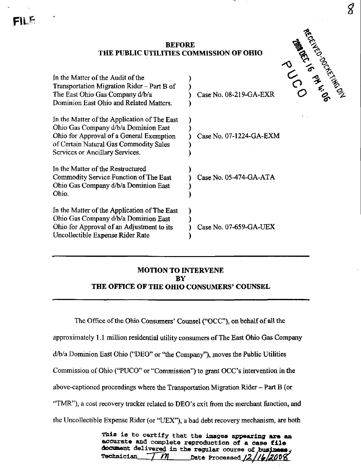$\pmb{\mathcal{S}}$ 

Fil



## MOTION TO INTERVENE BY THE OFFICE OF THE OHIO CONSUMERS' COUNSEL

The Office of the Ohio Consumers' Counsel ("OCC"), on behalf of all the

approximately 1.1 million residential utility consumers of The East Ohio Gas Company

d^/a Dominion East Ohio ("DEO" or "the Company"), moves the Public Utilities

Commission of Ohio ("PUCO" or "Commission") to grant OCC's intervention in the

above-captioned proceedings where the Transportation Migration Rider - Part B (or

"TMR"), a cost recovery tracker related to DEO's exit from the merchant function, and

the Uncollectible Expense Rider (or "UEX"), a bad debt recovery mechanism, are both

This is to certify that the images appearing are an accurate and complete reproduction of a case file document delivered in the regular course of busine Technician  $\frac{7}{10}$   $\frac{M}{\sqrt{2}}$  Date Processed  $\frac{12}{16}$ 2008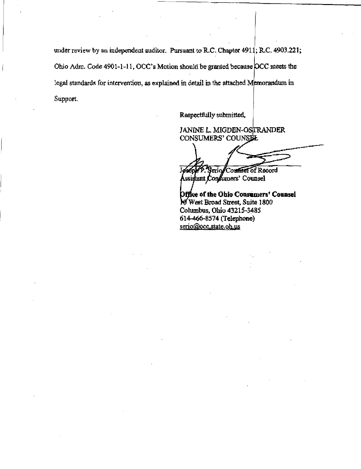under review by an independent auditor. Pursuant to R.C. Chapter 4911; R.C. 4903.221; Ohio Adm. Code 4901-1-11, OCC's Motion should be granted because OCC meets the legal standards for intervention, as explained in detail in the attached Memorandum in Support.

Respectfully submitted,

JANINE L. MIGDEN-OSTRANDER CONSUMERS' COUNSEL

erio/Counsel of Record Assigtant Condumers' Counsel

Office of the Ohio Cousumers' Counsel West Broad Street, Suite ISOO Columbus, Ohio 43215-3485

614-466-8574 (Telephone) serio@occ.state.oh.us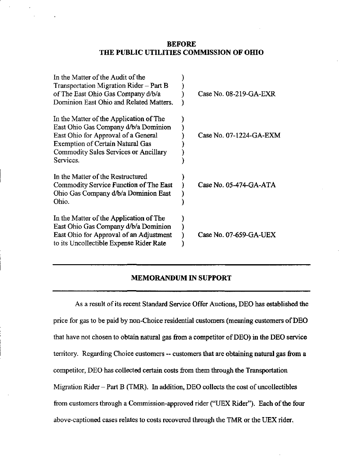## BEFORE THE PUBLIC UTILITIES COMMISSION OF OHIO

| In the Matter of the Audit of the       |                          |  |
|-----------------------------------------|--------------------------|--|
| Transportation Migration Rider – Part B |                          |  |
| of The East Ohio Gas Company d/b/a      | Case No. 08-219-GA-EXR   |  |
| Dominion East Ohio and Related Matters. |                          |  |
| In the Matter of the Application of The |                          |  |
| East Ohio Gas Company d/b/a Dominion    |                          |  |
| East Ohio for Approval of a General     | Case No. 07-1224-GA-EXM  |  |
| <b>Exemption of Certain Natural Gas</b> |                          |  |
| Commodity Sales Services or Ancillary   |                          |  |
| Services.                               |                          |  |
| In the Matter of the Restructured       |                          |  |
| Commodity Service Function of The East  | Case No. $05-474-GA-ATA$ |  |
| Ohio Gas Company d/b/a Dominion East    |                          |  |
| Ohio.                                   |                          |  |
| In the Matter of the Application of The |                          |  |
| East Ohio Gas Company d/b/a Dominion    |                          |  |
| East Ohio for Approval of an Adjustment | Case No. 07-659-GA-UEX   |  |
| to its Uncollectible Expense Rider Rate |                          |  |

## MEMORANDUM IN SUPPORT

As a result of its recent Standard Service Offer Auctions, DEO has established the price for gas to be paid by non-Choice residential customers (meaning customers of DEO that have not chosen to obtain natural gas from a competitor of DEO) in the DEO service territory. Regarding Choice customers -- customers that are obtaining natural gas from a competitor, DEO has collected certain costs from them through the Transportation Migration Rider - Part B (TMR). In addition, DEO collects the cost of uncollectibles from customers through a Commission-approved rider ("UEX Rider"). Each of the four above-captioned cases relates to costs recovered through the TMR or the UEX rider.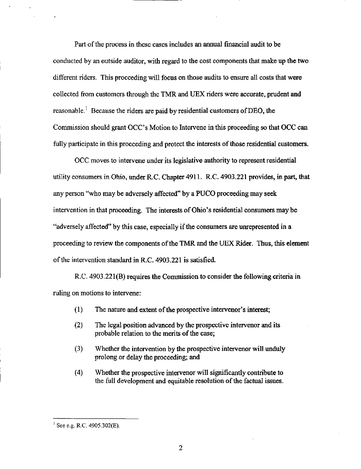Part of the process in these cases includes an annual financial audit to be conducted by an outside auditor, with regard to the cost components that make up the two different riders. This proceeding will focus on those audits to ensure all costs that were collected from customers through the TMR and UEX riders were accurate, prudent and reasonable.<sup>1</sup> Because the riders are paid by residential customers of DEO, the Commission should grant OCC's Motion to Intervene in this proceeding so that OCC can fully participate in this proceeding and protect the interests of those residential customers.

OCC moves to intervene under its legislative authority to represent residential utility consumers in Ohio, under R,C. Chapter 4911. R.C. 4903.221 provides, in part, that any person "who may be adversely affected" by a PUCO proceeding may seek intervention in that proceeding. The interests of Ohio's residential consumers maybe "adversely affected" by this case, especially if the consumers are unrepresented in a proceeding to review the components of the TMR and the UEX Rider. Thus, this element of the intervention standard in R.C. 4903.221 is satisfied.

R.C. 4903.221(B) requires the Commission to consider the following criteria in ruling on motions to intervene:

- (1) The nature and extent of the prospective intervenor's interest;
- (2) The legal position advanced by the prospective intervenor and its probable relation to the merits of the case;
- (3) Whether the intervention by the prospective intervenor will unduly prolong or delay the proceeding; and
- (4) Whether the prospective intervenor will significantly contribute to the full development and equitable resolution of the factual issues.

 $^{1}$  See e.g. R.C. 4905.302(E).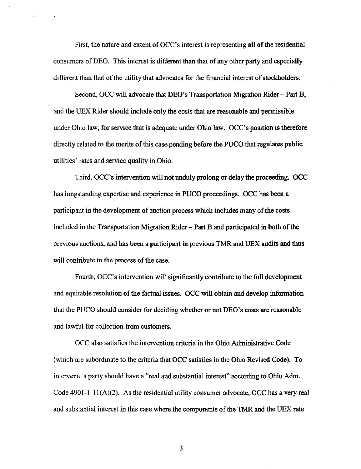First, the nature and extent of OCC's interest is representing all of the residential consumers of DEO. This interest is different than that of any other party and especially different than that of the utility that advocates for the financial interest of stockholders.

Second, OCC will advocate that DEO's Transportation Migration Rider - Part B, and the UEX Rider should include only the costs that are reasonable and permissible under Ohio law, for service that is adequate under Ohio law. OCC's position is therefore directly related to the merits of this case pending before the PUCO that regulates public utilities' rates and service quahty in Ohio.

Third, OCC's intervention will not imduly prolong or delay the proceeding. OCC has longstanding expertise and experience in PUCO proceedings. OCC has been a participant in the development of auction process which includes many of the costs included in the Transportation Migration Rider - Part B and participated in both of the previous auctions, and has been a participant in previous TMR and UEX audits and thus will contribute to the process of the case.

Fourth, OCC's intervention will significantly contribute to the full development and equitable resolution of the factual issues. OCC will obtain and develop information that the PUCO should consider for deciding whether or not DEO's costs are reasonable and lawful for collection from customers.

OCC also satisfies the intervention criteria in the Ohio Administrative Code (which are subordinate to the criteria that OCC satisfies in the Ohio Revised Code). To intervene, a party should have a "real and substantial interest" according to Ohio Adm. Code 4901-1-11(A)(2). As the residential utility consumer advocate, OCC has a very real and substantial interest in this case where the components of the TMR and the UEX rate

3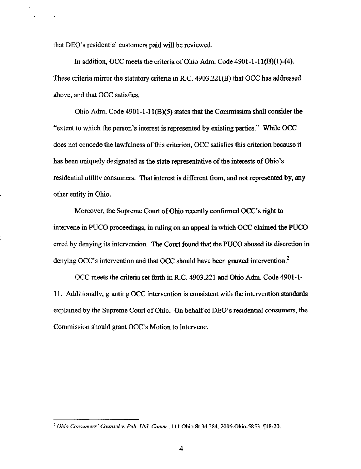that DEO's residential customers paid will be reviewed.

In addition, OCC meets the criteria of Ohio Adm. Code  $4901-1-11(B)(1)-(4)$ . These criteria mirror the statutory criteria in R.C. 4903.221(B) that OCC has addressed above, and that OCC satisfies.

Ohio Adm. Code 4901-1-11(B)(5) states that the Commission shall consider the "extent to which the person's interest is represented by existing parties." While OCC does not concede the lawfulness of this criterion, OCC satisfies this criterion because it has been uniquely designated as the state representative of the interests of Ohio's residential utility consumers. That interest is different from, and not represented by, any other entity in Ohio.

Moreover, the Supreme Court of Ohio recently confirmed OCC's right to intervene in PUCO proceedings, in ruling on an appeal in which OCC claimed the PUCO erred by denying its intervention. The Court found that the PUCO abused its discretion in denying OCC's intervention and that OCC should have been granted intervention. $^2$ 

OCC meets the criteria set forth in R.C. 4903.221 and Ohio Adm. Code 4901-1- 11. Additionally, granting OCC intervention is consistent with the intervention standards explained by the Supreme Court of Ohio. On behalf of DEO's residential consumers, the Commission should grant OCC's Motion to Intervene.

 $^2$  Ohio Consumers' Counsel v. Pub. Util. Comm., 111 Ohio St.3d 384, 2006-Ohio-5853,  $\P$ 18-20.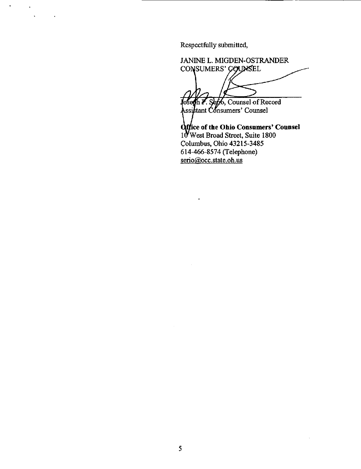Respectfiilly submitted.

 $\mathbf{u}^{\prime}$ 

JANINE L. MIGDEN-OSTRANDER CONSUMERS' COUNSEL Counsel of Record

finsumers' Counsel

Iffice of the Ohio Consumers' Counsel 10 West Broad Street, Suite 1800 Columbus, Ohio 43215-3485 614-466-8574 (Telephone) serio@occ.state.oh.us